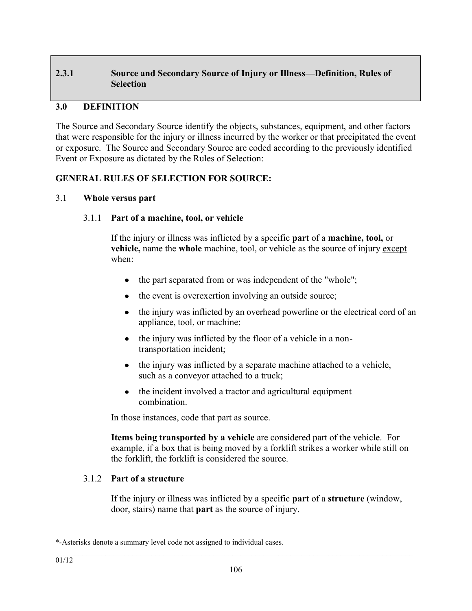# **2.3.1 Source and Secondary Source of Injury or Illness—Definition, Rules of Selection**

### **3.0 DEFINITION**

The Source and Secondary Source identify the objects, substances, equipment, and other factors that were responsible for the injury or illness incurred by the worker or that precipitated the event or exposure. The Source and Secondary Source are coded according to the previously identified Event or Exposure as dictated by the Rules of Selection:

### **GENERAL RULES OF SELECTION FOR SOURCE:**

### 3.1 **Whole versus part**

### 3.1.1 **Part of a machine, tool, or vehicle**

If the injury or illness was inflicted by a specific **part** of a **machine, tool,** or **vehicle,** name the **whole** machine, tool, or vehicle as the source of injury except when:

- the part separated from or was independent of the "whole";
- the event is overexertion involving an outside source;
- the injury was inflicted by an overhead powerline or the electrical cord of an appliance, tool, or machine;
- the injury was inflicted by the floor of a vehicle in a nontransportation incident;
- the injury was inflicted by a separate machine attached to a vehicle, such as a conveyor attached to a truck;
- the incident involved a tractor and agricultural equipment  $\bullet$ combination.

In those instances, code that part as source.

**Items being transported by a vehicle** are considered part of the vehicle. For example, if a box that is being moved by a forklift strikes a worker while still on the forklift, the forklift is considered the source.

### 3.1.2 **Part of a structure**

If the injury or illness was inflicted by a specific **part** of a **structure** (window, door, stairs) name that **part** as the source of injury.

<sup>\*-</sup>Asterisks denote a summary level code not assigned to individual cases.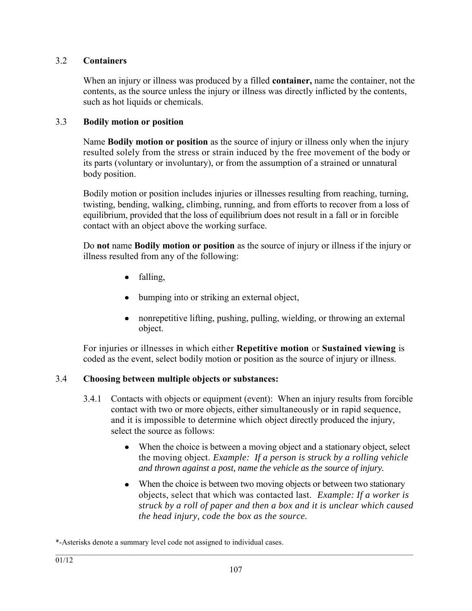## 3.2 **Containers**

When an injury or illness was produced by a filled **container,** name the container, not the contents, as the source unless the injury or illness was directly inflicted by the contents, such as hot liquids or chemicals.

## 3.3 **Bodily motion or position**

Name **Bodily motion or position** as the source of injury or illness only when the injury resulted solely from the stress or strain induced by the free movement of the body or its parts (voluntary or involuntary), or from the assumption of a strained or unnatural body position.

Bodily motion or position includes injuries or illnesses resulting from reaching, turning, twisting, bending, walking, climbing, running, and from efforts to recover from a loss of equilibrium, provided that the loss of equilibrium does not result in a fall or in forcible contact with an object above the working surface.

Do **not** name **Bodily motion or position** as the source of injury or illness if the injury or illness resulted from any of the following:

- $\bullet$  falling,
- bumping into or striking an external object,  $\bullet$
- nonrepetitive lifting, pushing, pulling, wielding, or throwing an external object.

For injuries or illnesses in which either **Repetitive motion** or **Sustained viewing** is coded as the event, select bodily motion or position as the source of injury or illness.

# 3.4 **Choosing between multiple objects or substances:**

- 3.4.1 Contacts with objects or equipment (event): When an injury results from forcible contact with two or more objects, either simultaneously or in rapid sequence, and it is impossible to determine which object directly produced the injury, select the source as follows:
	- When the choice is between a moving object and a stationary object, select the moving object. *Example: If a person is struck by a rolling vehicle and thrown against a post, name the vehicle as the source of injury.*
	- When the choice is between two moving objects or between two stationary objects, select that which was contacted last. *Example: If a worker is struck by a roll of paper and then a box and it is unclear which caused the head injury, code the box as the source.*

\*-Asterisks denote a summary level code not assigned to individual cases.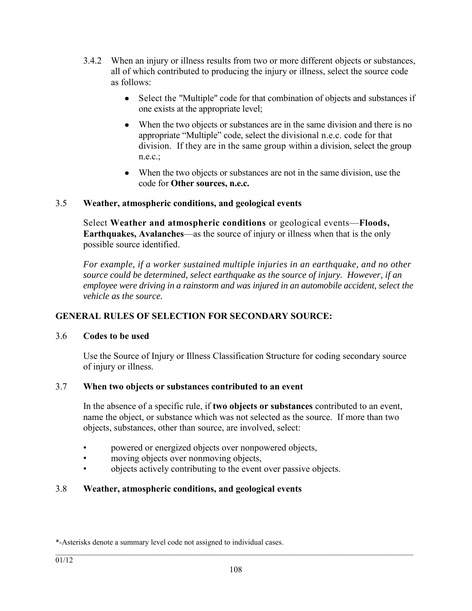- 3.4.2 When an injury or illness results from two or more different objects or substances, all of which contributed to producing the injury or illness, select the source code as follows:
	- Select the "Multiple" code for that combination of objects and substances if one exists at the appropriate level;
	- When the two objects or substances are in the same division and there is no appropriate "Multiple" code, select the divisional n.e.c. code for that division. If they are in the same group within a division, select the group  $n.e.c.$ ;
	- When the two objects or substances are not in the same division, use the code for **Other sources, n.e.c.**

## 3.5 **Weather, atmospheric conditions, and geological events**

Select **Weather and atmospheric conditions** or geological events—**Floods, Earthquakes, Avalanches**—as the source of injury or illness when that is the only possible source identified.

*For example, if a worker sustained multiple injuries in an earthquake, and no other source could be determined, select earthquake as the source of injury. However, if an employee were driving in a rainstorm and was injured in an automobile accident, select the vehicle as the source.* 

# **GENERAL RULES OF SELECTION FOR SECONDARY SOURCE:**

### 3.6 **Codes to be used**

Use the Source of Injury or Illness Classification Structure for coding secondary source of injury or illness.

### 3.7 **When two objects or substances contributed to an event**

In the absence of a specific rule, if **two objects or substances** contributed to an event, name the object, or substance which was not selected as the source. If more than two objects, substances, other than source, are involved, select:

- powered or energized objects over nonpowered objects,
- moving objects over nonmoving objects,
- objects actively contributing to the event over passive objects.

# 3.8 **Weather, atmospheric conditions, and geological events**

<sup>\*-</sup>Asterisks denote a summary level code not assigned to individual cases.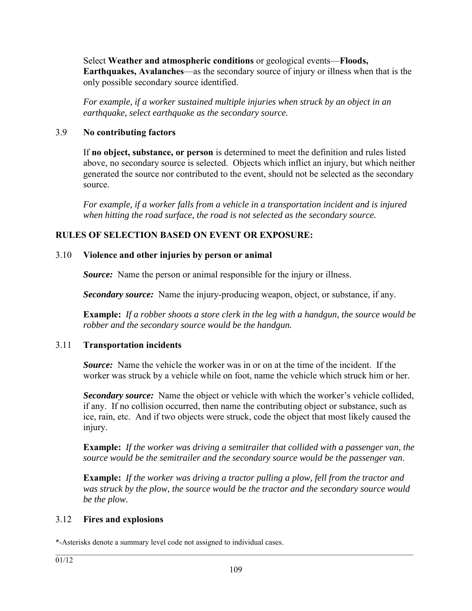Select **Weather and atmospheric conditions** or geological events—**Floods, Earthquakes, Avalanches**—as the secondary source of injury or illness when that is the only possible secondary source identified.

*For example, if a worker sustained multiple injuries when struck by an object in an earthquake, select earthquake as the secondary source.* 

## 3.9 **No contributing factors**

If **no object, substance, or person** is determined to meet the definition and rules listed above, no secondary source is selected. Objects which inflict an injury, but which neither generated the source nor contributed to the event, should not be selected as the secondary source.

*For example, if a worker falls from a vehicle in a transportation incident and is injured when hitting the road surface, the road is not selected as the secondary source.* 

# **RULES OF SELECTION BASED ON EVENT OR EXPOSURE:**

# 3.10 **Violence and other injuries by person or animal**

*Source:* Name the person or animal responsible for the injury or illness.

*Secondary source:* Name the injury-producing weapon, object, or substance, if any.

**Example:** *If a robber shoots a store clerk in the leg with a handgun, the source would be robber and the secondary source would be the handgun.*

# 3.11 **Transportation incidents**

*Source:* Name the vehicle the worker was in or on at the time of the incident. If the worker was struck by a vehicle while on foot, name the vehicle which struck him or her.

*Secondary source:* Name the object or vehicle with which the worker's vehicle collided, if any. If no collision occurred, then name the contributing object or substance, such as ice, rain, etc. And if two objects were struck, code the object that most likely caused the injury.

**Example:** *If the worker was driving a semitrailer that collided with a passenger van, the source would be the semitrailer and the secondary source would be the passenger van.* 

**Example:** *If the worker was driving a tractor pulling a plow, fell from the tractor and was struck by the plow, the source would be the tractor and the secondary source would be the plow.* 

# 3.12 **Fires and explosions**

<sup>\*-</sup>Asterisks denote a summary level code not assigned to individual cases.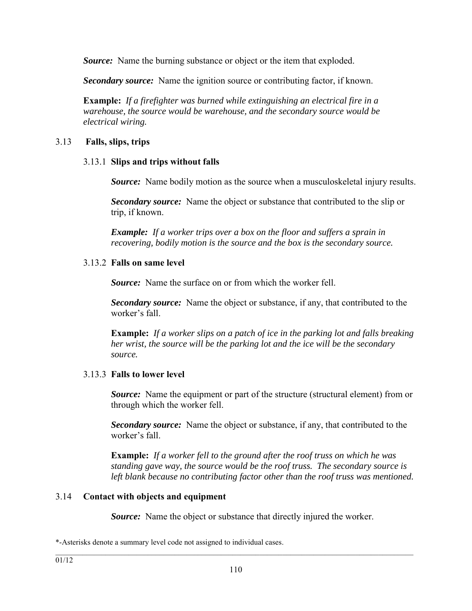*Source:* Name the burning substance or object or the item that exploded.

*Secondary source:* Name the ignition source or contributing factor, if known.

**Example:** *If a firefighter was burned while extinguishing an electrical fire in a warehouse, the source would be warehouse, and the secondary source would be electrical wiring.*

### 3.13 **Falls, slips, trips**

#### 3.13.1 **Slips and trips without falls**

*Source:* Name bodily motion as the source when a musculoskeletal injury results.

*Secondary source:* Name the object or substance that contributed to the slip or trip, if known.

*Example: If a worker trips over a box on the floor and suffers a sprain in recovering, bodily motion is the source and the box is the secondary source.* 

#### 3.13.2 **Falls on same level**

*Source:* Name the surface on or from which the worker fell.

*Secondary source:* Name the object or substance, if any, that contributed to the worker's fall.

**Example:** *If a worker slips on a patch of ice in the parking lot and falls breaking her wrist, the source will be the parking lot and the ice will be the secondary source.* 

### 3.13.3 **Falls to lower level**

*Source:* Name the equipment or part of the structure (structural element) from or through which the worker fell.

*Secondary source:* Name the object or substance, if any, that contributed to the worker's fall.

**Example:** *If a worker fell to the ground after the roof truss on which he was standing gave way, the source would be the roof truss. The secondary source is left blank because no contributing factor other than the roof truss was mentioned.*

### 3.14 **Contact with objects and equipment**

*Source:* Name the object or substance that directly injured the worker.

\*-Asterisks denote a summary level code not assigned to individual cases.

 $\mathcal{L}_\mathcal{L} = \{ \mathcal{L}_\mathcal{L} = \{ \mathcal{L}_\mathcal{L} = \{ \mathcal{L}_\mathcal{L} = \{ \mathcal{L}_\mathcal{L} = \{ \mathcal{L}_\mathcal{L} = \{ \mathcal{L}_\mathcal{L} = \{ \mathcal{L}_\mathcal{L} = \{ \mathcal{L}_\mathcal{L} = \{ \mathcal{L}_\mathcal{L} = \{ \mathcal{L}_\mathcal{L} = \{ \mathcal{L}_\mathcal{L} = \{ \mathcal{L}_\mathcal{L} = \{ \mathcal{L}_\mathcal{L} = \{ \mathcal{L}_\mathcal{$